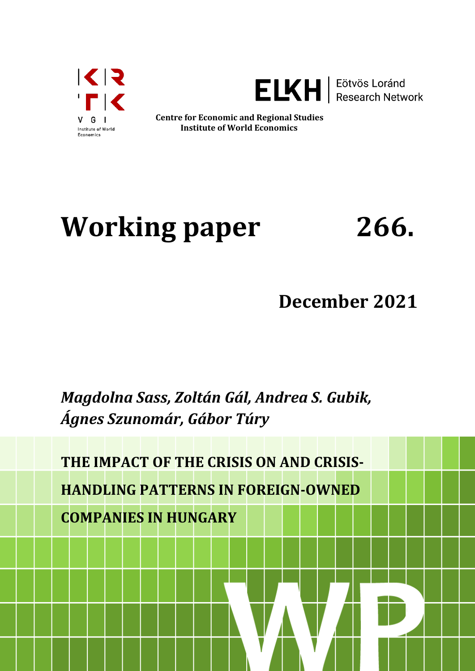



**ELKH** | Eötvös Loránd

**Centre for Economic and Regional Studies Institute of World Economics**

# **Working paper 266.**

# **December 2021**

# *Magdolna Sass, Zoltán Gál, Andrea S. Gubik, Ágnes Szunomár, Gábor Túry*

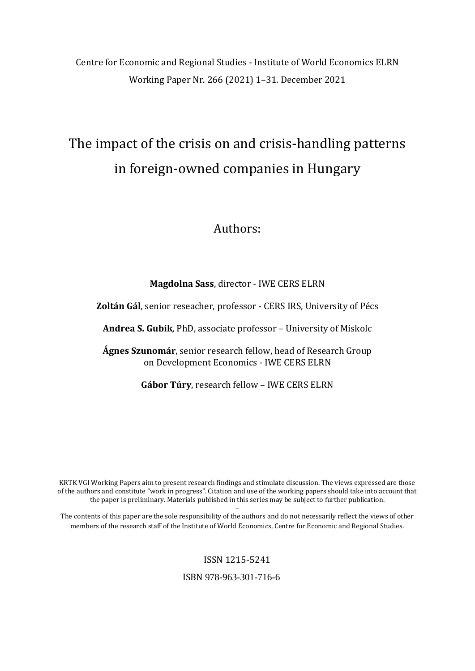Centre for Economic and Regional Studies - Institute of World Economics ELRN Working Paper Nr. 266 (2021) 1–31. December 2021

# The impact of the crisis on and crisis-handling patterns in foreign-owned companies in Hungary

## Authors:

#### **Magdolna Sass**, director - IWE CERS ELRN

**Zoltán Gál**, senior reseacher, professor - CERS IRS, University of Pécs

**Andrea S. Gubik**, PhD, associate professor – University of Miskolc

**Ágnes Szunomár**, senior research fellow, head of Research Group on Development Economics - IWE CERS ELRN

**Gábor Túry**, research fellow – IWE CERS ELRN

KRTK VGI Working Papers aim to present research findings and stimulate discussion. The views expressed are those of the authors and constitute "work in progress". Citation and use of the working papers should take into account that the paper is preliminary. Materials published in this series may be subject to further publication.

– The contents of this paper are the sole responsibility of the authors and do not necessarily reflect the views of other members of the research staff of the Institute of World Economics, Centre for Economic and Regional Studies.

#### ISSN 1215-5241

ISBN 978-963-301-716-6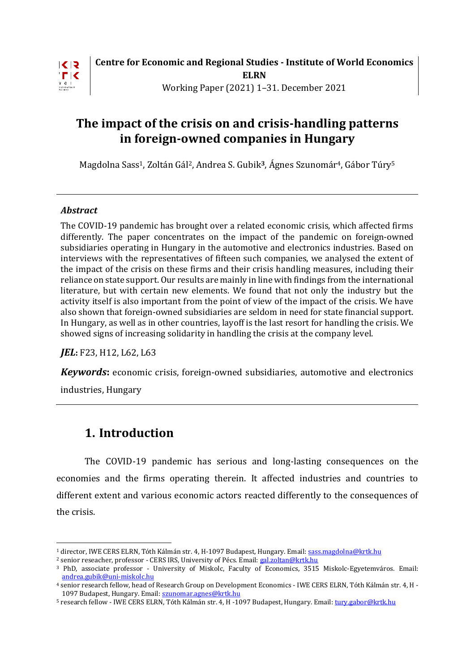

# **The impact of the crisis on and crisis-handling patterns in foreign-owned companies in Hungary**

Magdolna Sass1, Zoltán Gál2, Andrea S. Gubik**3**, Ágnes Szunomár4, Gábor Túry<sup>5</sup>

#### *Abstract*

The COVID-19 pandemic has brought over a related economic crisis, which affected firms differently. The paper concentrates on the impact of the pandemic on foreign-owned subsidiaries operating in Hungary in the automotive and electronics industries. Based on interviews with the representatives of fifteen such companies, we analysed the extent of the impact of the crisis on these firms and their crisis handling measures, including their reliance on state support. Our results are mainly in line with findings from the international literature, but with certain new elements. We found that not only the industry but the activity itself is also important from the point of view of the impact of the crisis. We have also shown that foreign-owned subsidiaries are seldom in need for state financial support. In Hungary, as well as in other countries, layoff is the last resort for handling the crisis. We showed signs of increasing solidarity in handling the crisis at the company level.

*JEL***:** F23, H12, L62, L63

*Keywords***:** economic crisis, foreign-owned subsidiaries, automotive and electronics

industries, Hungary

<u>.</u>

# **1. Introduction**

The COVID-19 pandemic has serious and long-lasting consequences on the economies and the firms operating therein. It affected industries and countries to different extent and various economic actors reacted differently to the consequences of the crisis.

<sup>&</sup>lt;sup>1</sup> director, IWE CERS ELRN, Tóth Kálmán str. 4, H-1097 Budapest, Hungary. Email[: sass.magdolna@krtk.hu](mailto:sass.magdolna@krtk.hu)

<sup>&</sup>lt;sup>2</sup> senior reseacher, professor - CERS IRS, University of Pécs. Email: [gal.zoltan@krtk.hu](mailto:gal.zoltan@krtk.hu)

<sup>3</sup> PhD, associate professor - University of Miskolc, Faculty of Economics, 3515 Miskolc-Egyetemváros. Email: [andrea.gubik@uni-miskolc.hu](mailto:andrea.gubik@uni-miskolc.hu)

<sup>4</sup> senior research fellow, head of Research Group on Development Economics - IWE CERS ELRN, Tóth Kálmán str. 4, H 1097 Budapest, Hungary. Email: [szunomar.agnes@krtk.hu](mailto:szunomar.agnes@krtk.hu)

<sup>5</sup> research fellow - IWE CERS ELRN, Tóth Kálmán str. 4, H -1097 Budapest, Hungary. Email: [tury.gabor@krtk.hu](mailto:tury.gabor@krtk.hu)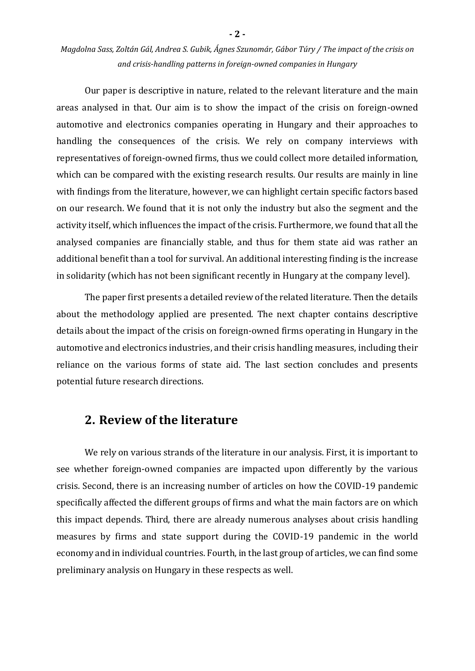Our paper is descriptive in nature, related to the relevant literature and the main areas analysed in that. Our aim is to show the impact of the crisis on foreign-owned automotive and electronics companies operating in Hungary and their approaches to handling the consequences of the crisis. We rely on company interviews with representatives of foreign-owned firms, thus we could collect more detailed information, which can be compared with the existing research results. Our results are mainly in line with findings from the literature, however, we can highlight certain specific factors based on our research. We found that it is not only the industry but also the segment and the activity itself, which influences the impact of the crisis. Furthermore, we found that all the analysed companies are financially stable, and thus for them state aid was rather an additional benefit than a tool for survival. An additional interesting finding is the increase in solidarity (which has not been significant recently in Hungary at the company level).

The paper first presents a detailed review of the related literature. Then the details about the methodology applied are presented. The next chapter contains descriptive details about the impact of the crisis on foreign-owned firms operating in Hungary in the automotive and electronics industries, and their crisis handling measures, including their reliance on the various forms of state aid. The last section concludes and presents potential future research directions.

#### **2. Review of the literature**

We rely on various strands of the literature in our analysis. First, it is important to see whether foreign-owned companies are impacted upon differently by the various crisis. Second, there is an increasing number of articles on how the COVID-19 pandemic specifically affected the different groups of firms and what the main factors are on which this impact depends. Third, there are already numerous analyses about crisis handling measures by firms and state support during the COVID-19 pandemic in the world economy and in individual countries. Fourth, in the last group of articles, we can find some preliminary analysis on Hungary in these respects as well.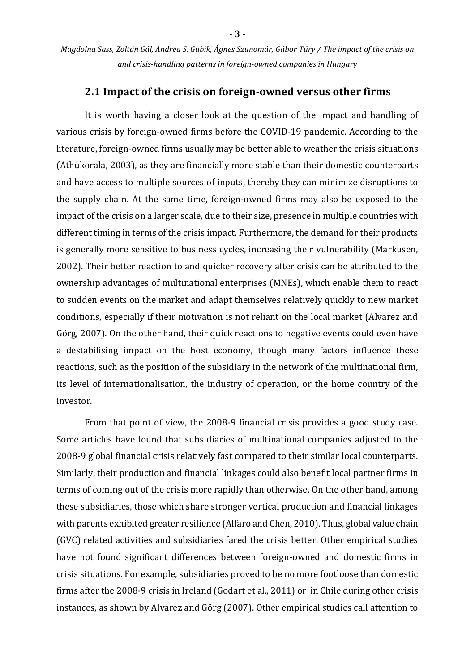#### **2.1 Impact of the crisis on foreign-owned versus other firms**

It is worth having a closer look at the question of the impact and handling of various crisis by foreign-owned firms before the COVID-19 pandemic. According to the literature, foreign-owned firms usually may be better able to weather the crisis situations (Athukorala, 2003), as they are financially more stable than their domestic counterparts and have access to multiple sources of inputs, thereby they can minimize disruptions to the supply chain. At the same time, foreign-owned firms may also be exposed to the impact of the crisis on a larger scale, due to their size, presence in multiple countries with different timing in terms of the crisis impact. Furthermore, the demand for their products is generally more sensitive to business cycles, increasing their vulnerability (Markusen, 2002). Their better reaction to and quicker recovery after crisis can be attributed to the ownership advantages of multinational enterprises (MNEs), which enable them to react to sudden events on the market and adapt themselves relatively quickly to new market conditions, especially if their motivation is not reliant on the local market (Alvarez and Görg, 2007). On the other hand, their quick reactions to negative events could even have a destabilising impact on the host economy, though many factors influence these reactions, such as the position of the subsidiary in the network of the multinational firm, its level of internationalisation, the industry of operation, or the home country of the investor.

From that point of view, the 2008-9 financial crisis provides a good study case. Some articles have found that subsidiaries of multinational companies adjusted to the 2008-9 global financial crisis relatively fast compared to their similar local counterparts. Similarly, their production and financial linkages could also benefit local partner firms in terms of coming out of the crisis more rapidly than otherwise. On the other hand, among these subsidiaries, those which share stronger vertical production and financial linkages with parents exhibited greater resilience (Alfaro and Chen, 2010). Thus, global value chain (GVC) related activities and subsidiaries fared the crisis better. Other empirical studies have not found significant differences between foreign-owned and domestic firms in crisis situations. For example, subsidiaries proved to be no more footloose than domestic firms after the 2008-9 crisis in Ireland (Godart et al., 2011) or in Chile during other crisis instances, as shown by Alvarez and Görg (2007). Other empirical studies call attention to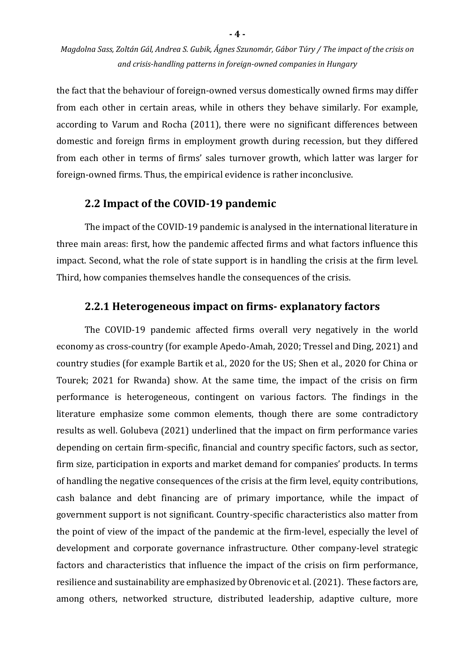the fact that the behaviour of foreign-owned versus domestically owned firms may differ from each other in certain areas, while in others they behave similarly. For example, according to Varum and Rocha (2011), there were no significant differences between domestic and foreign firms in employment growth during recession, but they differed from each other in terms of firms' sales turnover growth, which latter was larger for foreign-owned firms. Thus, the empirical evidence is rather inconclusive.

#### **2.2 Impact of the COVID-19 pandemic**

The impact of the COVID-19 pandemic is analysed in the international literature in three main areas: first, how the pandemic affected firms and what factors influence this impact. Second, what the role of state support is in handling the crisis at the firm level. Third, how companies themselves handle the consequences of the crisis.

#### **2.2.1 Heterogeneous impact on firms- explanatory factors**

The COVID-19 pandemic affected firms overall very negatively in the world economy as cross-country (for example Apedo-Amah, 2020; Tressel and Ding, 2021) and country studies (for example Bartik et al., 2020 for the US; Shen et al., 2020 for China or Tourek; 2021 for Rwanda) show. At the same time, the impact of the crisis on firm performance is heterogeneous, contingent on various factors. The findings in the literature emphasize some common elements, though there are some contradictory results as well. Golubeva (2021) underlined that the impact on firm performance varies depending on certain firm-specific, financial and country specific factors, such as sector, firm size, participation in exports and market demand for companies' products. In terms of handling the negative consequences of the crisis at the firm level, equity contributions, cash balance and debt financing are of primary importance, while the impact of government support is not significant. Country-specific characteristics also matter from the point of view of the impact of the pandemic at the firm-level, especially the level of development and corporate governance infrastructure. Other company-level strategic factors and characteristics that influence the impact of the crisis on firm performance, resilience and sustainability are emphasized by Obrenovic et al. (2021). These factors are, among others, networked structure, distributed leadership, adaptive culture, more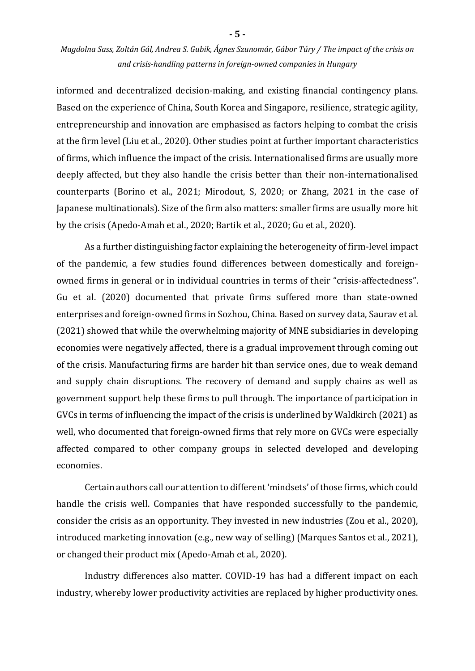informed and decentralized decision-making, and existing financial contingency plans. Based on the experience of China, South Korea and Singapore, resilience, strategic agility, entrepreneurship and innovation are emphasised as factors helping to combat the crisis at the firm level (Liu et al., 2020). Other studies point at further important characteristics of firms, which influence the impact of the crisis. Internationalised firms are usually more deeply affected, but they also handle the crisis better than their non-internationalised counterparts (Borino et al., 2021; Mirodout, S, 2020; or Zhang, 2021 in the case of Japanese multinationals). Size of the firm also matters: smaller firms are usually more hit by the crisis (Apedo-Amah et al., 2020; Bartik et al., 2020; Gu et al., 2020).

As a further distinguishing factor explaining the heterogeneity of firm-level impact of the pandemic, a few studies found differences between domestically and foreignowned firms in general or in individual countries in terms of their "crisis-affectedness". Gu et al. (2020) documented that private firms suffered more than state-owned enterprises and foreign-owned firms in Sozhou, China. Based on survey data, Saurav et al. (2021) showed that while the overwhelming majority of MNE subsidiaries in developing economies were negatively affected, there is a gradual improvement through coming out of the crisis. Manufacturing firms are harder hit than service ones, due to weak demand and supply chain disruptions. The recovery of demand and supply chains as well as government support help these firms to pull through. The importance of participation in GVCs in terms of influencing the impact of the crisis is underlined by Waldkirch (2021) as well, who documented that foreign-owned firms that rely more on GVCs were especially affected compared to other company groups in selected developed and developing economies.

Certain authors call our attention to different 'mindsets' of those firms, which could handle the crisis well. Companies that have responded successfully to the pandemic, consider the crisis as an opportunity. They invested in new industries (Zou et al., 2020), introduced marketing innovation (e.g., new way of selling) (Marques Santos et al., 2021), or changed their product mix (Apedo-Amah et al., 2020).

Industry differences also matter. COVID-19 has had a different impact on each industry, whereby lower productivity activities are replaced by higher productivity ones.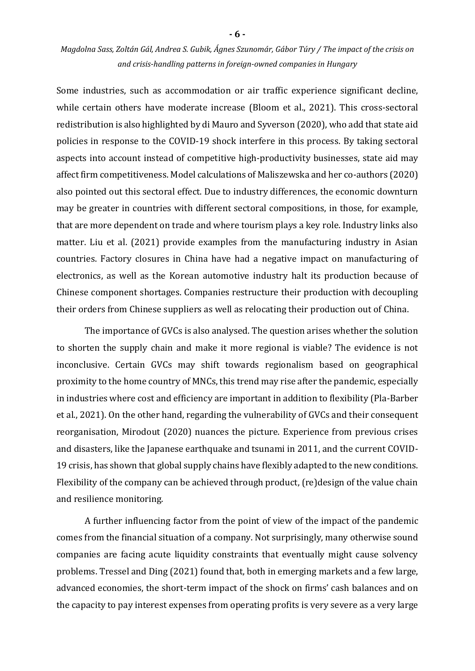Some industries, such as accommodation or air traffic experience significant decline, while certain others have moderate increase (Bloom et al., 2021). This cross-sectoral redistribution is also highlighted by di Mauro and Syverson (2020), who add that state aid policies in response to the COVID-19 shock interfere in this process. By taking sectoral aspects into account instead of competitive high-productivity businesses, state aid may affect firm competitiveness. Model calculations of Maliszewska and her co-authors (2020) also pointed out this sectoral effect. Due to industry differences, the economic downturn may be greater in countries with different sectoral compositions, in those, for example, that are more dependent on trade and where tourism plays a key role. Industry links also matter. Liu et al. (2021) provide examples from the manufacturing industry in Asian countries. Factory closures in China have had a negative impact on manufacturing of electronics, as well as the Korean automotive industry halt its production because of Chinese component shortages. Companies restructure their production with decoupling their orders from Chinese suppliers as well as relocating their production out of China.

The importance of GVCs is also analysed. The question arises whether the solution to shorten the supply chain and make it more regional is viable? The evidence is not inconclusive. Certain GVCs may shift towards regionalism based on geographical proximity to the home country of MNCs, this trend may rise after the pandemic, especially in industries where cost and efficiency are important in addition to flexibility (Pla-Barber et al., 2021). On the other hand, regarding the vulnerability of GVCs and their consequent reorganisation, Mirodout (2020) nuances the picture. Experience from previous crises and disasters, like the Japanese earthquake and tsunami in 2011, and the current COVID-19 crisis, has shown that global supply chains have flexibly adapted to the new conditions. Flexibility of the company can be achieved through product, (re)design of the value chain and resilience monitoring.

A further influencing factor from the point of view of the impact of the pandemic comes from the financial situation of a company. Not surprisingly, many otherwise sound companies are facing acute liquidity constraints that eventually might cause solvency problems. Tressel and Ding (2021) found that, both in emerging markets and a few large, advanced economies, the short-term impact of the shock on firms' cash balances and on the capacity to pay interest expenses from operating profits is very severe as a very large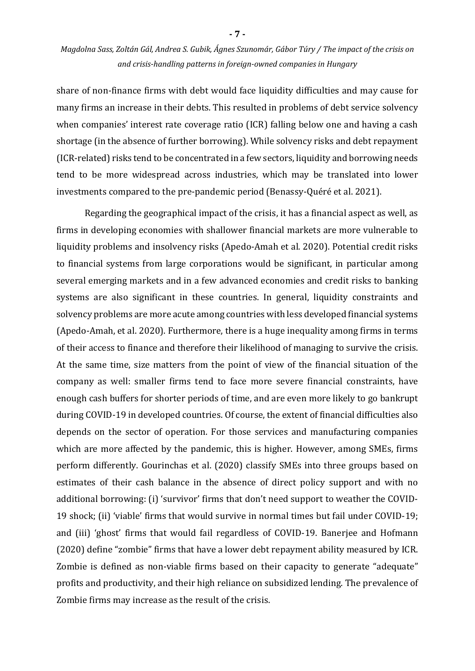share of non-finance firms with debt would face liquidity difficulties and may cause for many firms an increase in their debts. This resulted in problems of debt service solvency when companies' interest rate coverage ratio (ICR) falling below one and having a cash shortage (in the absence of further borrowing). While solvency risks and debt repayment (ICR-related) risks tend to be concentrated in a few sectors, liquidity and borrowing needs tend to be more widespread across industries, which may be translated into lower investments compared to the pre-pandemic period (Benassy-Quéré et al. 2021).

Regarding the geographical impact of the crisis, it has a financial aspect as well, as firms in developing economies with shallower financial markets are more vulnerable to liquidity problems and insolvency risks (Apedo-Amah et al. 2020). Potential credit risks to financial systems from large corporations would be significant, in particular among several emerging markets and in a few advanced economies and credit risks to banking systems are also significant in these countries. In general, liquidity constraints and solvency problems are more acute among countries with less developed financial systems (Apedo-Amah, et al. 2020). Furthermore, there is a huge inequality among firms in terms of their access to finance and therefore their likelihood of managing to survive the crisis. At the same time, size matters from the point of view of the financial situation of the company as well: smaller firms tend to face more severe financial constraints, have enough cash buffers for shorter periods of time, and are even more likely to go bankrupt during COVID-19 in developed countries. Of course, the extent of financial difficulties also depends on the sector of operation. For those services and manufacturing companies which are more affected by the pandemic, this is higher. However, among SMEs, firms perform differently. Gourinchas et al. (2020) classify SMEs into three groups based on estimates of their cash balance in the absence of direct policy support and with no additional borrowing: (i) 'survivor' firms that don't need support to weather the COVID-19 shock; (ii) 'viable' firms that would survive in normal times but fail under COVID-19; and (iii) 'ghost' firms that would fail regardless of COVID-19. Banerjee and Hofmann (2020) define "zombie" firms that have a lower debt repayment ability measured by ICR. Zombie is defined as non-viable firms based on their capacity to generate "adequate" profits and productivity, and their high reliance on subsidized lending. The prevalence of Zombie firms may increase as the result of the crisis.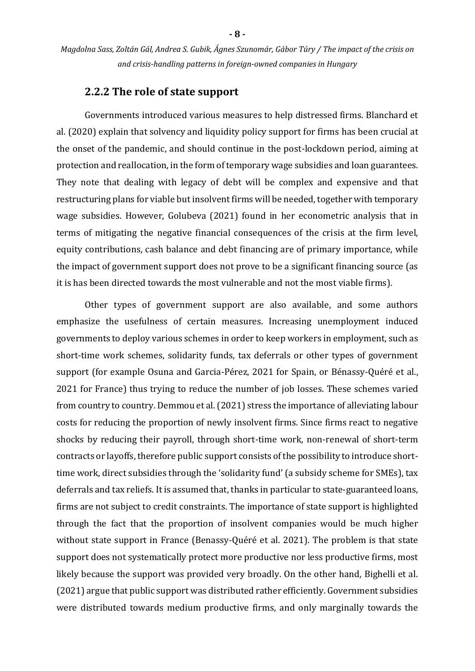#### **2.2.2 The role of state support**

Governments introduced various measures to help distressed firms. Blanchard et al. (2020) explain that solvency and liquidity policy support for firms has been crucial at the onset of the pandemic, and should continue in the post-lockdown period, aiming at protection and reallocation, in the form of temporary wage subsidies and loan guarantees. They note that dealing with legacy of debt will be complex and expensive and that restructuring plans for viable but insolvent firms will be needed, together with temporary wage subsidies. However, Golubeva (2021) found in her econometric analysis that in terms of mitigating the negative financial consequences of the crisis at the firm level, equity contributions, cash balance and debt financing are of primary importance, while the impact of government support does not prove to be a significant financing source (as it is has been directed towards the most vulnerable and not the most viable firms).

Other types of government support are also available, and some authors emphasize the usefulness of certain measures. Increasing unemployment induced governments to deploy various schemes in order to keep workers in employment, such as short-time work schemes, solidarity funds, tax deferrals or other types of government support (for example Osuna and Garcia-Pérez, 2021 for Spain, or Bénassy-Quéré et al., 2021 for France) thus trying to reduce the number of job losses. These schemes varied from country to country. Demmou et al. (2021) stress the importance of alleviating labour costs for reducing the proportion of newly insolvent firms. Since firms react to negative shocks by reducing their payroll, through short-time work, non-renewal of short-term contracts or layoffs, therefore public support consists of the possibility to introduce shorttime work, direct subsidies through the 'solidarity fund' (a subsidy scheme for SMEs), tax deferrals and tax reliefs. It is assumed that, thanks in particular to state-guaranteed loans, firms are not subject to credit constraints. The importance of state support is highlighted through the fact that the proportion of insolvent companies would be much higher without state support in France (Benassy-Quéré et al. 2021). The problem is that state support does not systematically protect more productive nor less productive firms, most likely because the support was provided very broadly. On the other hand, Bighelli et al. (2021) argue that public support was distributed rather efficiently. Government subsidies were distributed towards medium productive firms, and only marginally towards the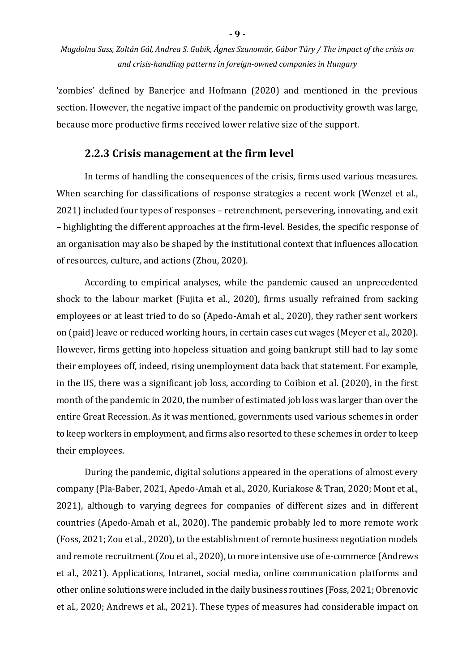**- 9 -**

'zombies' defined by Banerjee and Hofmann (2020) and mentioned in the previous section. However, the negative impact of the pandemic on productivity growth was large, because more productive firms received lower relative size of the support.

#### **2.2.3 Crisis management at the firm level**

In terms of handling the consequences of the crisis, firms used various measures. When searching for classifications of response strategies a recent work (Wenzel et al., 2021) included four types of responses – retrenchment, persevering, innovating, and exit – highlighting the different approaches at the firm-level. Besides, the specific response of an organisation may also be shaped by the institutional context that influences allocation of resources, culture, and actions (Zhou, 2020).

According to empirical analyses, while the pandemic caused an unprecedented shock to the labour market (Fujita et al., 2020), firms usually refrained from sacking employees or at least tried to do so (Apedo-Amah et al., 2020), they rather sent workers on (paid) leave or reduced working hours, in certain cases cut wages (Meyer et al., 2020). However, firms getting into hopeless situation and going bankrupt still had to lay some their employees off, indeed, rising unemployment data back that statement. For example, in the US, there was a significant job loss, according to Coibion et al. (2020), in the first month of the pandemic in 2020, the number of estimated job loss was larger than over the entire Great Recession. As it was mentioned, governments used various schemes in order to keep workers in employment, and firms also resorted to these schemes in order to keep their employees.

During the pandemic, digital solutions appeared in the operations of almost every company (Pla-Baber, 2021, Apedo-Amah et al., 2020, Kuriakose & Tran, 2020; Mont et al., 2021), although to varying degrees for companies of different sizes and in different countries (Apedo-Amah et al., 2020). The pandemic probably led to more remote work (Foss, 2021; Zou et al., 2020), to the establishment of remote business negotiation models and remote recruitment (Zou et al., 2020), to more intensive use of e-commerce (Andrews et al., 2021). Applications, Intranet, social media, online communication platforms and other online solutions were included in the daily business routines (Foss, 2021; Obrenovic et al., 2020; Andrews et al., 2021). These types of measures had considerable impact on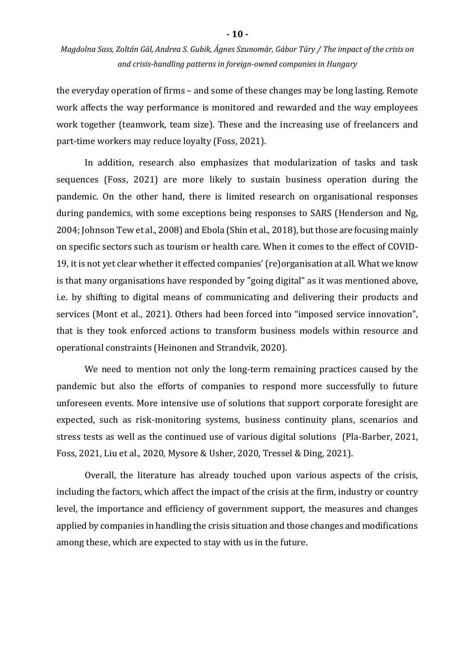the everyday operation of firms – and some of these changes may be long lasting. Remote work affects the way performance is monitored and rewarded and the way employees work together (teamwork, team size). These and the increasing use of freelancers and part-time workers may reduce loyalty (Foss, 2021).

In addition, research also emphasizes that modularization of tasks and task sequences (Foss, 2021) are more likely to sustain business operation during the pandemic. On the other hand, there is limited research on organisational responses during pandemics, with some exceptions being responses to SARS (Henderson and Ng, 2004; Johnson Tew et al., 2008) and Ebola (Shin et al., 2018), but those are focusing mainly on specific sectors such as tourism or health care. When it comes to the effect of COVID-19, it is not yet clear whether it effected companies' (re)organisation at all. What we know is that many organisations have responded by "going digital" as it was mentioned above, i.e. by shifting to digital means of communicating and delivering their products and services (Mont et al., 2021). Others had been forced into "imposed service innovation", that is they took enforced actions to transform business models within resource and operational constraints (Heinonen and Strandvik, 2020).

We need to mention not only the long-term remaining practices caused by the pandemic but also the efforts of companies to respond more successfully to future unforeseen events. More intensive use of solutions that support corporate foresight are expected, such as risk-monitoring systems, business continuity plans, scenarios and stress tests as well as the continued use of various digital solutions (Pla-Barber, 2021, Foss, 2021, Liu et al., 2020, Mysore & Usher, 2020, Tressel & Ding, 2021).

Overall, the literature has already touched upon various aspects of the crisis, including the factors, which affect the impact of the crisis at the firm, industry or country level, the importance and efficiency of government support, the measures and changes applied by companies in handling the crisis situation and those changes and modifications among these, which are expected to stay with us in the future.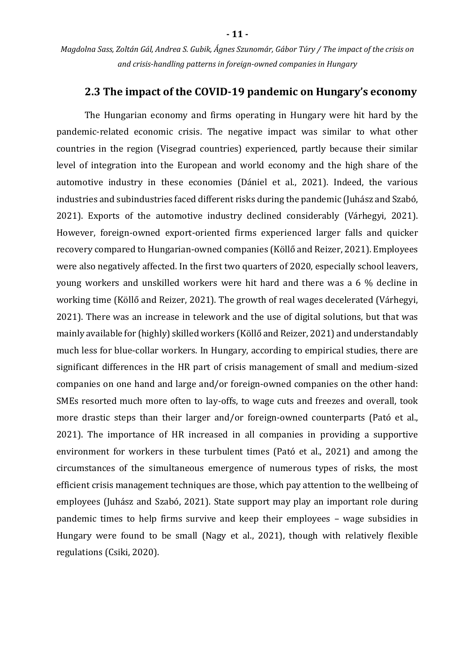#### **2.3 The impact of the COVID-19 pandemic on Hungary's economy**

The Hungarian economy and firms operating in Hungary were hit hard by the pandemic-related economic crisis. The negative impact was similar to what other countries in the region (Visegrad countries) experienced, partly because their similar level of integration into the European and world economy and the high share of the automotive industry in these economies (Dániel et al., 2021). Indeed, the various industries and subindustries faced different risks during the pandemic (Juhász and Szabó, 2021). Exports of the automotive industry declined considerably (Várhegyi, 2021). However, foreign-owned export-oriented firms experienced larger falls and quicker recovery compared to Hungarian-owned companies (Köllő and Reizer, 2021). Employees were also negatively affected. In the first two quarters of 2020, especially school leavers, young workers and unskilled workers were hit hard and there was a 6 % decline in working time (Köllő and Reizer, 2021). The growth of real wages decelerated (Várhegyi, 2021). There was an increase in telework and the use of digital solutions, but that was mainly available for (highly) skilled workers (Köllő and Reizer, 2021) and understandably much less for blue-collar workers. In Hungary, according to empirical studies, there are significant differences in the HR part of crisis management of small and medium-sized companies on one hand and large and/or foreign-owned companies on the other hand: SMEs resorted much more often to lay-offs, to wage cuts and freezes and overall, took more drastic steps than their larger and/or foreign-owned counterparts (Pató et al., 2021). The importance of HR increased in all companies in providing a supportive environment for workers in these turbulent times (Pató et al., 2021) and among the circumstances of the simultaneous emergence of numerous types of risks, the most efficient crisis management techniques are those, which pay attention to the wellbeing of employees (Juhász and Szabó, 2021). State support may play an important role during pandemic times to help firms survive and keep their employees – wage subsidies in Hungary were found to be small (Nagy et al., 2021), though with relatively flexible regulations (Csiki, 2020).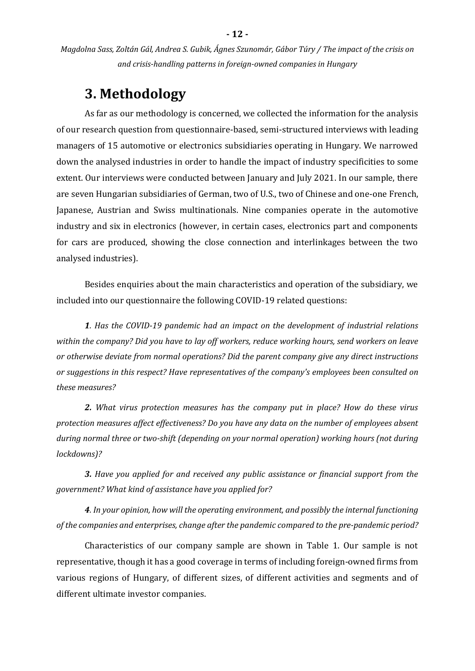# **3. Methodology**

As far as our methodology is concerned, we collected the information for the analysis of our research question from questionnaire-based, semi-structured interviews with leading managers of 15 automotive or electronics subsidiaries operating in Hungary. We narrowed down the analysed industries in order to handle the impact of industry specificities to some extent. Our interviews were conducted between January and July 2021. In our sample, there are seven Hungarian subsidiaries of German, two of U.S., two of Chinese and one-one French, Japanese, Austrian and Swiss multinationals. Nine companies operate in the automotive industry and six in electronics (however, in certain cases, electronics part and components for cars are produced, showing the close connection and interlinkages between the two analysed industries).

Besides enquiries about the main characteristics and operation of the subsidiary, we included into our questionnaire the following COVID-19 related questions:

*1. Has the COVID-19 pandemic had an impact on the development of industrial relations within the company? Did you have to lay off workers, reduce working hours, send workers on leave or otherwise deviate from normal operations? Did the parent company give any direct instructions or suggestions in this respect? Have representatives of the company's employees been consulted on these measures?*

*2. What virus protection measures has the company put in place? How do these virus protection measures affect effectiveness? Do you have any data on the number of employees absent during normal three or two-shift (depending on your normal operation) working hours (not during lockdowns)?*

*3. Have you applied for and received any public assistance or financial support from the government? What kind of assistance have you applied for?*

*4. In your opinion, how will the operating environment, and possibly the internal functioning of the companies and enterprises, change after the pandemic compared to the pre-pandemic period?*

Characteristics of our company sample are shown in Table 1. Our sample is not representative, though it has a good coverage in terms of including foreign-owned firms from various regions of Hungary, of different sizes, of different activities and segments and of different ultimate investor companies.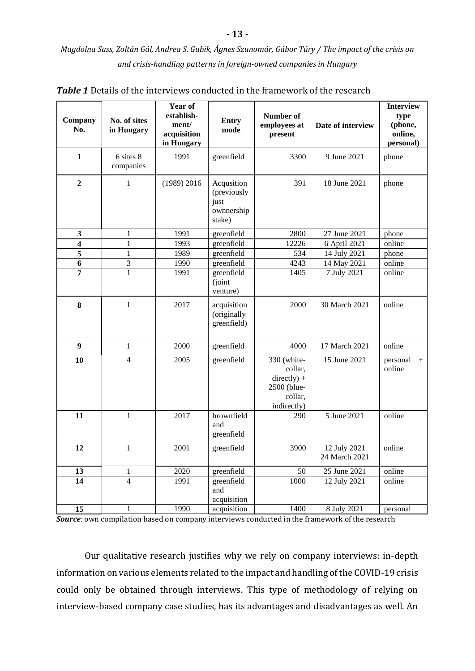| Company<br>No.          | No. of sites<br>in Hungary | Year of<br>establish-<br>ment/<br>acquisition<br>in Hungary | <b>Entry</b><br>mode                                      | Number of<br>employees at<br>present                                             | Date of interview             | <b>Interview</b><br>type<br>(phone,<br>online,<br>personal) |
|-------------------------|----------------------------|-------------------------------------------------------------|-----------------------------------------------------------|----------------------------------------------------------------------------------|-------------------------------|-------------------------------------------------------------|
| $\mathbf{1}$            | 6 sites 8<br>companies     | 1991                                                        | greenfield                                                | 3300                                                                             | 9 June 2021                   | phone                                                       |
| $\overline{2}$          | $\mathbf{1}$               | $(1989)$ 2016                                               | Acqusition<br>(previously<br>just<br>ownnership<br>stake) | 391                                                                              | 18 June 2021                  | phone                                                       |
| $\mathbf{3}$            | $\mathbf{1}$               | 1991                                                        | greenfield                                                | 2800                                                                             | 27 June 2021                  | phone                                                       |
| $\overline{\mathbf{4}}$ | $\overline{1}$             | 1993                                                        | greenfield                                                | 12226                                                                            | 6 April 2021                  | online                                                      |
| $\overline{5}$          | $\mathbf{1}$               | 1989                                                        | greenfield                                                | 534                                                                              | 14 July 2021                  | phone                                                       |
| 6                       | $\overline{3}$             | 1990                                                        | greenfield                                                | 4243                                                                             | 14 May 2021                   | online                                                      |
| 7                       | $\mathbf{1}$               | 1991                                                        | greenfield<br>(joint<br>venture)                          | 1405                                                                             | 7 July 2021                   | online                                                      |
| 8                       | $\mathbf{1}$               | 2017                                                        | acquisition<br>(originally<br>greenfield)                 | 2000                                                                             | 30 March 2021                 | online                                                      |
| 9                       | $\mathbf{1}$               | 2000                                                        | greenfield                                                | 4000                                                                             | 17 March 2021                 | online                                                      |
| 10                      | $\overline{4}$             | 2005                                                        | greenfield                                                | 330 (white-<br>collar,<br>$directly) +$<br>2500 (blue-<br>collar,<br>indirectly) | 15 June 2021                  | personal<br>$+$<br>online                                   |
| 11                      | $\mathbf{1}$               | 2017                                                        | brownfield<br>and<br>greenfield                           | 290                                                                              | 5 June 2021                   | online                                                      |
| 12                      | $\mathbf{1}$               | 2001                                                        | greenfield                                                | 3900                                                                             | 12 July 2021<br>24 March 2021 | online                                                      |
| 13                      | 1                          | 2020                                                        | greenfield                                                | 50                                                                               | 25 June 2021                  | online                                                      |
| $\overline{14}$         | $\overline{4}$             | 1991                                                        | greenfield<br>and<br>acquisition                          | 1000                                                                             | 12 July 2021                  | online                                                      |
| 15                      | 1                          | 1990                                                        | acquisition                                               | 1400                                                                             | 8 July 2021                   | personal                                                    |

*Table 1* Details of the interviews conducted in the framework of the research

*Source:* own compilation based on company interviews conducted in the framework of the research

Our qualitative research justifies why we rely on company interviews: in-depth information on various elements related to the impact and handling of the COVID-19 crisis could only be obtained through interviews. This type of methodology of relying on interview-based company case studies, has its advantages and disadvantages as well. An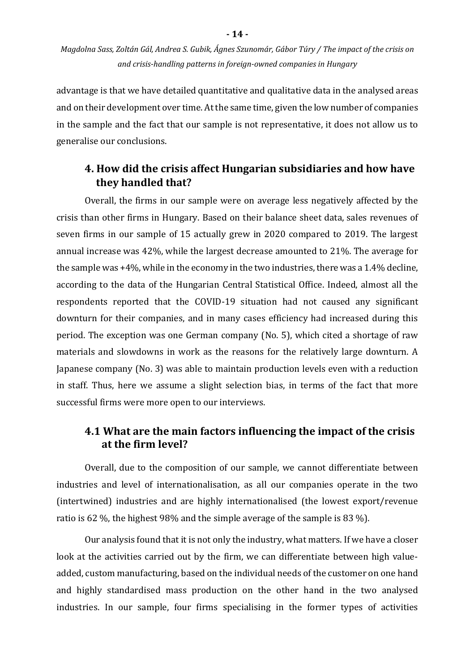advantage is that we have detailed quantitative and qualitative data in the analysed areas and on their development over time. At the same time, given the low number of companies in the sample and the fact that our sample is not representative, it does not allow us to generalise our conclusions.

### **4. How did the crisis affect Hungarian subsidiaries and how have they handled that?**

Overall, the firms in our sample were on average less negatively affected by the crisis than other firms in Hungary. Based on their balance sheet data, sales revenues of seven firms in our sample of 15 actually grew in 2020 compared to 2019. The largest annual increase was 42%, while the largest decrease amounted to 21%. The average for the sample was +4%, while in the economy in the two industries, there was a 1.4% decline, according to the data of the Hungarian Central Statistical Office. Indeed, almost all the respondents reported that the COVID-19 situation had not caused any significant downturn for their companies, and in many cases efficiency had increased during this period. The exception was one German company (No. 5), which cited a shortage of raw materials and slowdowns in work as the reasons for the relatively large downturn. A Japanese company (No. 3) was able to maintain production levels even with a reduction in staff. Thus, here we assume a slight selection bias, in terms of the fact that more successful firms were more open to our interviews.

### **4.1 What are the main factors influencing the impact of the crisis at the firm level?**

Overall, due to the composition of our sample, we cannot differentiate between industries and level of internationalisation, as all our companies operate in the two (intertwined) industries and are highly internationalised (the lowest export/revenue ratio is 62 %, the highest 98% and the simple average of the sample is 83 %).

Our analysis found that it is not only the industry, what matters. If we have a closer look at the activities carried out by the firm, we can differentiate between high valueadded, custom manufacturing, based on the individual needs of the customer on one hand and highly standardised mass production on the other hand in the two analysed industries. In our sample, four firms specialising in the former types of activities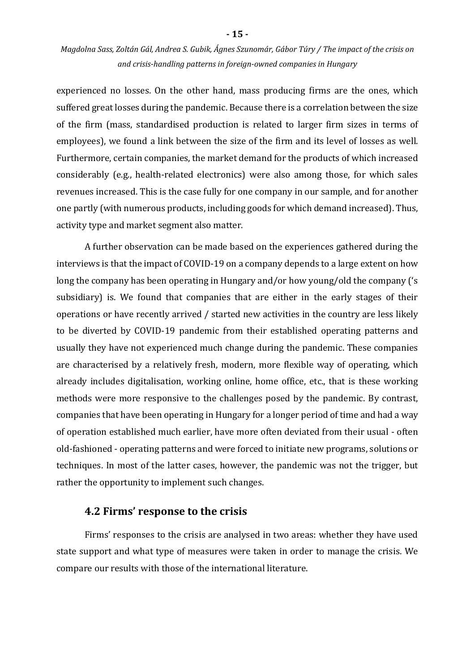experienced no losses. On the other hand, mass producing firms are the ones, which suffered great losses during the pandemic. Because there is a correlation between the size of the firm (mass, standardised production is related to larger firm sizes in terms of employees), we found a link between the size of the firm and its level of losses as well. Furthermore, certain companies, the market demand for the products of which increased considerably (e.g., health-related electronics) were also among those, for which sales revenues increased. This is the case fully for one company in our sample, and for another one partly (with numerous products, including goods for which demand increased). Thus, activity type and market segment also matter.

A further observation can be made based on the experiences gathered during the interviews is that the impact of COVID-19 on a company depends to a large extent on how long the company has been operating in Hungary and/or how young/old the company ('s subsidiary) is. We found that companies that are either in the early stages of their operations or have recently arrived / started new activities in the country are less likely to be diverted by COVID-19 pandemic from their established operating patterns and usually they have not experienced much change during the pandemic. These companies are characterised by a relatively fresh, modern, more flexible way of operating, which already includes digitalisation, working online, home office, etc., that is these working methods were more responsive to the challenges posed by the pandemic. By contrast, companies that have been operating in Hungary for a longer period of time and had a way of operation established much earlier, have more often deviated from their usual - often old-fashioned - operating patterns and were forced to initiate new programs, solutions or techniques. In most of the latter cases, however, the pandemic was not the trigger, but rather the opportunity to implement such changes.

#### **4.2 Firms' response to the crisis**

Firms' responses to the crisis are analysed in two areas: whether they have used state support and what type of measures were taken in order to manage the crisis. We compare our results with those of the international literature.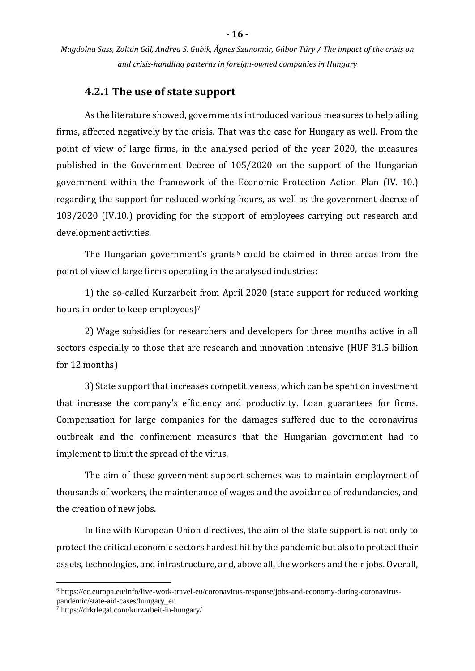#### **4.2.1 The use of state support**

As the literature showed, governments introduced various measures to help ailing firms, affected negatively by the crisis. That was the case for Hungary as well. From the point of view of large firms, in the analysed period of the year 2020, the measures published in the Government Decree of 105/2020 on the support of the Hungarian government within the framework of the Economic Protection Action Plan (IV. 10.) regarding the support for reduced working hours, as well as the government decree of 103/2020 (IV.10.) providing for the support of employees carrying out research and development activities.

The Hungarian government's grants<sup> $6$ </sup> could be claimed in three areas from the point of view of large firms operating in the analysed industries:

1) the so-called Kurzarbeit from April 2020 (state support for reduced working hours in order to keep employees)<sup>7</sup>

2) Wage subsidies for researchers and developers for three months active in all sectors especially to those that are research and innovation intensive (HUF 31.5 billion for 12 months)

3) State support that increases competitiveness, which can be spent on investment that increase the company's efficiency and productivity. Loan guarantees for firms. Compensation for large companies for the damages suffered due to the coronavirus outbreak and the confinement measures that the Hungarian government had to implement to limit the spread of the virus.

The aim of these government support schemes was to maintain employment of thousands of workers, the maintenance of wages and the avoidance of redundancies, and the creation of new jobs.

In line with European Union directives, the aim of the state support is not only to protect the critical economic sectors hardest hit by the pandemic but also to protect their assets, technologies, and infrastructure, and, above all, the workers and their jobs. Overall,

1

<sup>6</sup> https://ec.europa.eu/info/live-work-travel-eu/coronavirus-response/jobs-and-economy-during-coronaviruspandemic/state-aid-cases/hungary\_en

 $\frac{1}{7}$  https://drkrlegal.com/kurzarbeit-in-hungary/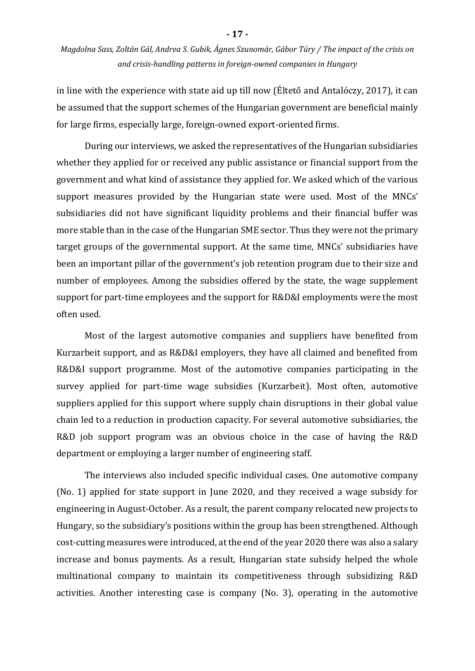in line with the experience with state aid up till now (Éltető and Antalóczy, 2017), it can be assumed that the support schemes of the Hungarian government are beneficial mainly for large firms, especially large, foreign-owned export-oriented firms.

During our interviews, we asked the representatives of the Hungarian subsidiaries whether they applied for or received any public assistance or financial support from the government and what kind of assistance they applied for. We asked which of the various support measures provided by the Hungarian state were used. Most of the MNCs' subsidiaries did not have significant liquidity problems and their financial buffer was more stable than in the case of the Hungarian SME sector. Thus they were not the primary target groups of the governmental support. At the same time, MNCs' subsidiaries have been an important pillar of the government's job retention program due to their size and number of employees. Among the subsidies offered by the state, the wage supplement support for part-time employees and the support for R&D&I employments were the most often used.

Most of the largest automotive companies and suppliers have benefited from Kurzarbeit support, and as R&D&I employers, they have all claimed and benefited from R&D&I support programme. Most of the automotive companies participating in the survey applied for part-time wage subsidies (Kurzarbeit). Most often, automotive suppliers applied for this support where supply chain disruptions in their global value chain led to a reduction in production capacity. For several automotive subsidiaries, the R&D job support program was an obvious choice in the case of having the R&D department or employing a larger number of engineering staff.

The interviews also included specific individual cases. One automotive company (No. 1) applied for state support in June 2020, and they received a wage subsidy for engineering in August-October. As a result, the parent company relocated new projects to Hungary, so the subsidiary's positions within the group has been strengthened. Although cost-cutting measures were introduced, at the end of the year 2020 there was also a salary increase and bonus payments. As a result, Hungarian state subsidy helped the whole multinational company to maintain its competitiveness through subsidizing R&D activities. Another interesting case is company (No. 3), operating in the automotive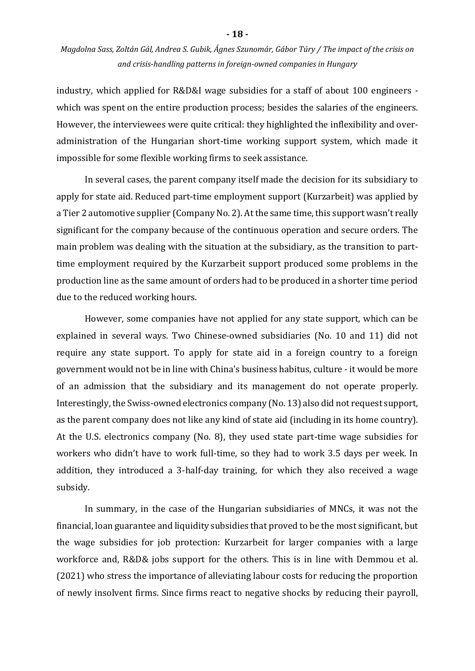industry, which applied for R&D&I wage subsidies for a staff of about 100 engineers which was spent on the entire production process; besides the salaries of the engineers. However, the interviewees were quite critical: they highlighted the inflexibility and overadministration of the Hungarian short-time working support system, which made it impossible for some flexible working firms to seek assistance.

In several cases, the parent company itself made the decision for its subsidiary to apply for state aid. Reduced part-time employment support (Kurzarbeit) was applied by a Tier 2 automotive supplier (Company No. 2). At the same time, this support wasn't really significant for the company because of the continuous operation and secure orders. The main problem was dealing with the situation at the subsidiary, as the transition to parttime employment required by the Kurzarbeit support produced some problems in the production line as the same amount of orders had to be produced in a shorter time period due to the reduced working hours.

However, some companies have not applied for any state support, which can be explained in several ways. Two Chinese-owned subsidiaries (No. 10 and 11) did not require any state support. To apply for state aid in a foreign country to a foreign government would not be in line with China's business habitus, culture - it would be more of an admission that the subsidiary and its management do not operate properly. Interestingly, the Swiss-owned electronics company (No. 13) also did not request support, as the parent company does not like any kind of state aid (including in its home country). At the U.S. electronics company (No. 8), they used state part-time wage subsidies for workers who didn't have to work full-time, so they had to work 3.5 days per week. In addition, they introduced a 3-half-day training, for which they also received a wage subsidy.

In summary, in the case of the Hungarian subsidiaries of MNCs, it was not the financial, loan guarantee and liquidity subsidies that proved to be the most significant, but the wage subsidies for job protection: Kurzarbeit for larger companies with a large workforce and, R&D& jobs support for the others. This is in line with Demmou et al. (2021) who stress the importance of alleviating labour costs for reducing the proportion of newly insolvent firms. Since firms react to negative shocks by reducing their payroll,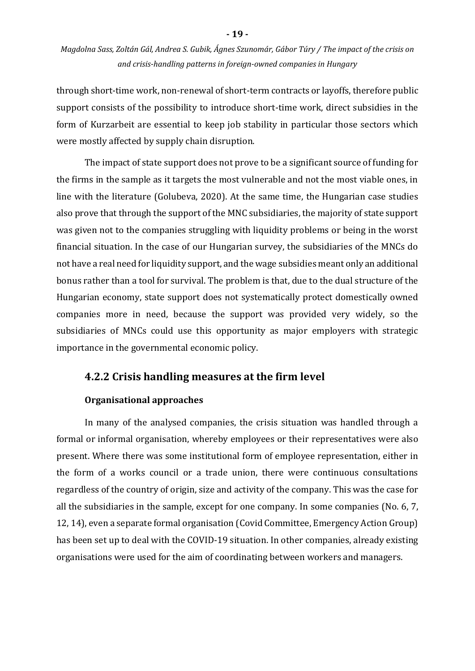through short-time work, non-renewal of short-term contracts or layoffs, therefore public support consists of the possibility to introduce short-time work, direct subsidies in the form of Kurzarbeit are essential to keep job stability in particular those sectors which were mostly affected by supply chain disruption.

The impact of state support does not prove to be a significant source of funding for the firms in the sample as it targets the most vulnerable and not the most viable ones, in line with the literature (Golubeva, 2020). At the same time, the Hungarian case studies also prove that through the support of the MNC subsidiaries, the majority of state support was given not to the companies struggling with liquidity problems or being in the worst financial situation. In the case of our Hungarian survey, the subsidiaries of the MNCs do not have a real need for liquidity support, and the wage subsidies meant only an additional bonus rather than a tool for survival. The problem is that, due to the dual structure of the Hungarian economy, state support does not systematically protect domestically owned companies more in need, because the support was provided very widely, so the subsidiaries of MNCs could use this opportunity as major employers with strategic importance in the governmental economic policy.

#### **4.2.2 Crisis handling measures at the firm level**

#### **Organisational approaches**

In many of the analysed companies, the crisis situation was handled through a formal or informal organisation, whereby employees or their representatives were also present. Where there was some institutional form of employee representation, either in the form of a works council or a trade union, there were continuous consultations regardless of the country of origin, size and activity of the company. This was the case for all the subsidiaries in the sample, except for one company. In some companies (No. 6, 7, 12, 14), even a separate formal organisation (Covid Committee, Emergency Action Group) has been set up to deal with the COVID-19 situation. In other companies, already existing organisations were used for the aim of coordinating between workers and managers.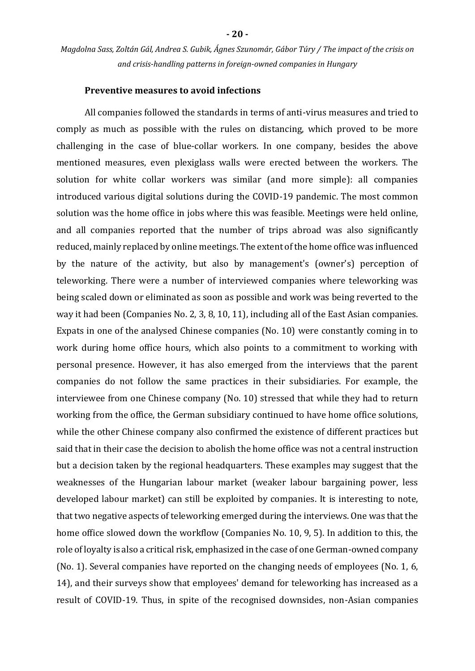#### **Preventive measures to avoid infections**

All companies followed the standards in terms of anti-virus measures and tried to comply as much as possible with the rules on distancing, which proved to be more challenging in the case of blue-collar workers. In one company, besides the above mentioned measures, even plexiglass walls were erected between the workers. The solution for white collar workers was similar (and more simple): all companies introduced various digital solutions during the COVID-19 pandemic. The most common solution was the home office in jobs where this was feasible. Meetings were held online, and all companies reported that the number of trips abroad was also significantly reduced, mainly replaced by online meetings. The extent of the home office was influenced by the nature of the activity, but also by management's (owner's) perception of teleworking. There were a number of interviewed companies where teleworking was being scaled down or eliminated as soon as possible and work was being reverted to the way it had been (Companies No. 2, 3, 8, 10, 11), including all of the East Asian companies. Expats in one of the analysed Chinese companies (No. 10) were constantly coming in to work during home office hours, which also points to a commitment to working with personal presence. However, it has also emerged from the interviews that the parent companies do not follow the same practices in their subsidiaries. For example, the interviewee from one Chinese company (No. 10) stressed that while they had to return working from the office, the German subsidiary continued to have home office solutions, while the other Chinese company also confirmed the existence of different practices but said that in their case the decision to abolish the home office was not a central instruction but a decision taken by the regional headquarters. These examples may suggest that the weaknesses of the Hungarian labour market (weaker labour bargaining power, less developed labour market) can still be exploited by companies. It is interesting to note, that two negative aspects of teleworking emerged during the interviews. One was that the home office slowed down the workflow (Companies No. 10, 9, 5). In addition to this, the role of loyalty is also a critical risk, emphasized in the case of one German-owned company (No. 1). Several companies have reported on the changing needs of employees (No. 1, 6, 14), and their surveys show that employees' demand for teleworking has increased as a result of COVID-19. Thus, in spite of the recognised downsides, non-Asian companies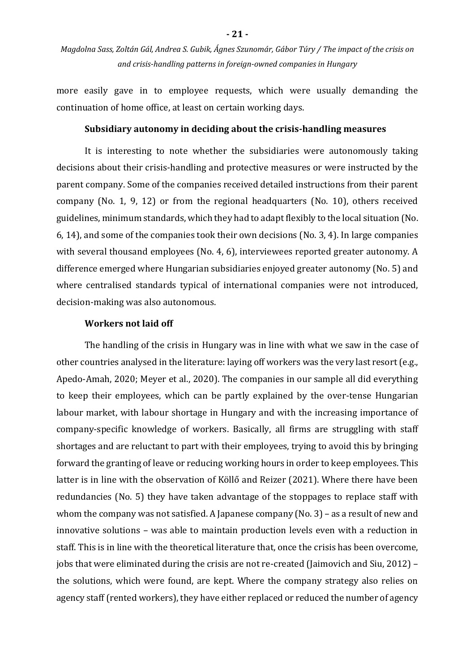more easily gave in to employee requests, which were usually demanding the continuation of home office, at least on certain working days.

#### **Subsidiary autonomy in deciding about the crisis-handling measures**

It is interesting to note whether the subsidiaries were autonomously taking decisions about their crisis-handling and protective measures or were instructed by the parent company. Some of the companies received detailed instructions from their parent company (No. 1, 9, 12) or from the regional headquarters (No. 10), others received guidelines, minimum standards, which they had to adapt flexibly to the local situation (No. 6, 14), and some of the companies took their own decisions (No. 3, 4). In large companies with several thousand employees (No. 4, 6), interviewees reported greater autonomy. A difference emerged where Hungarian subsidiaries enjoyed greater autonomy (No. 5) and where centralised standards typical of international companies were not introduced, decision-making was also autonomous.

#### **Workers not laid off**

The handling of the crisis in Hungary was in line with what we saw in the case of other countries analysed in the literature: laying off workers was the very last resort (e.g., Apedo-Amah, 2020; Meyer et al., 2020). The companies in our sample all did everything to keep their employees, which can be partly explained by the over-tense Hungarian labour market, with labour shortage in Hungary and with the increasing importance of company-specific knowledge of workers. Basically, all firms are struggling with staff shortages and are reluctant to part with their employees, trying to avoid this by bringing forward the granting of leave or reducing working hours in order to keep employees. This latter is in line with the observation of Köllő and Reizer (2021). Where there have been redundancies (No. 5) they have taken advantage of the stoppages to replace staff with whom the company was not satisfied. A Japanese company (No. 3) – as a result of new and innovative solutions – was able to maintain production levels even with a reduction in staff. This is in line with the theoretical literature that, once the crisis has been overcome, jobs that were eliminated during the crisis are not re-created (Jaimovich and Siu, 2012) – the solutions, which were found, are kept. Where the company strategy also relies on agency staff (rented workers), they have either replaced or reduced the number of agency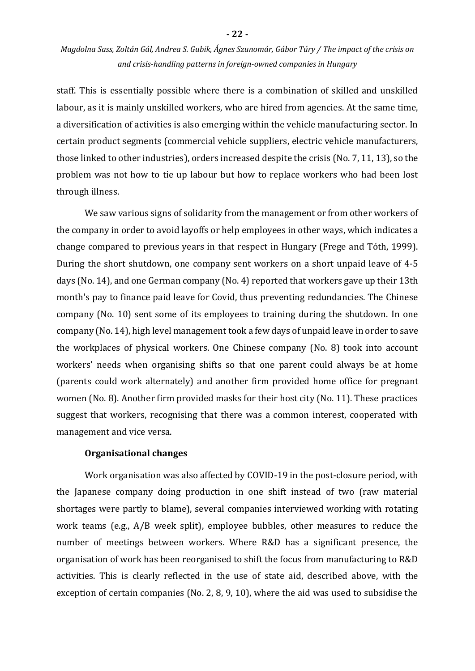staff. This is essentially possible where there is a combination of skilled and unskilled labour, as it is mainly unskilled workers, who are hired from agencies. At the same time, a diversification of activities is also emerging within the vehicle manufacturing sector. In certain product segments (commercial vehicle suppliers, electric vehicle manufacturers, those linked to other industries), orders increased despite the crisis (No. 7, 11, 13), so the problem was not how to tie up labour but how to replace workers who had been lost through illness.

We saw various signs of solidarity from the management or from other workers of the company in order to avoid layoffs or help employees in other ways, which indicates a change compared to previous years in that respect in Hungary (Frege and Tóth, 1999). During the short shutdown, one company sent workers on a short unpaid leave of 4-5 days (No. 14), and one German company (No. 4) reported that workers gave up their 13th month's pay to finance paid leave for Covid, thus preventing redundancies. The Chinese company (No. 10) sent some of its employees to training during the shutdown. In one company (No. 14), high level management took a few days of unpaid leave in order to save the workplaces of physical workers. One Chinese company (No. 8) took into account workers' needs when organising shifts so that one parent could always be at home (parents could work alternately) and another firm provided home office for pregnant women (No. 8). Another firm provided masks for their host city (No. 11). These practices suggest that workers, recognising that there was a common interest, cooperated with management and vice versa.

#### **Organisational changes**

Work organisation was also affected by COVID-19 in the post-closure period, with the Japanese company doing production in one shift instead of two (raw material shortages were partly to blame), several companies interviewed working with rotating work teams (e.g., A/B week split), employee bubbles, other measures to reduce the number of meetings between workers. Where R&D has a significant presence, the organisation of work has been reorganised to shift the focus from manufacturing to R&D activities. This is clearly reflected in the use of state aid, described above, with the exception of certain companies (No. 2, 8, 9, 10), where the aid was used to subsidise the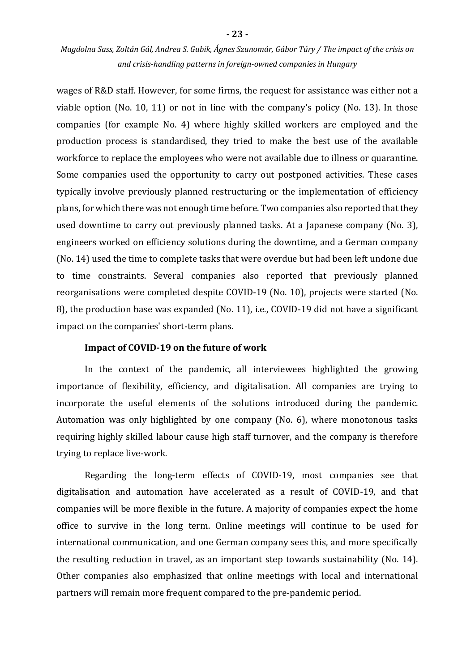wages of R&D staff. However, for some firms, the request for assistance was either not a viable option (No. 10, 11) or not in line with the company's policy (No. 13). In those companies (for example No. 4) where highly skilled workers are employed and the production process is standardised, they tried to make the best use of the available workforce to replace the employees who were not available due to illness or quarantine. Some companies used the opportunity to carry out postponed activities. These cases typically involve previously planned restructuring or the implementation of efficiency plans, for which there was not enough time before. Two companies also reported that they used downtime to carry out previously planned tasks. At a Japanese company (No. 3), engineers worked on efficiency solutions during the downtime, and a German company (No. 14) used the time to complete tasks that were overdue but had been left undone due to time constraints. Several companies also reported that previously planned reorganisations were completed despite COVID-19 (No. 10), projects were started (No. 8), the production base was expanded (No. 11), i.e., COVID-19 did not have a significant impact on the companies' short-term plans.

#### **Impact of COVID-19 on the future of work**

In the context of the pandemic, all interviewees highlighted the growing importance of flexibility, efficiency, and digitalisation. All companies are trying to incorporate the useful elements of the solutions introduced during the pandemic. Automation was only highlighted by one company (No. 6), where monotonous tasks requiring highly skilled labour cause high staff turnover, and the company is therefore trying to replace live-work.

Regarding the long-term effects of COVID-19, most companies see that digitalisation and automation have accelerated as a result of COVID-19, and that companies will be more flexible in the future. A majority of companies expect the home office to survive in the long term. Online meetings will continue to be used for international communication, and one German company sees this, and more specifically the resulting reduction in travel, as an important step towards sustainability (No. 14). Other companies also emphasized that online meetings with local and international partners will remain more frequent compared to the pre-pandemic period.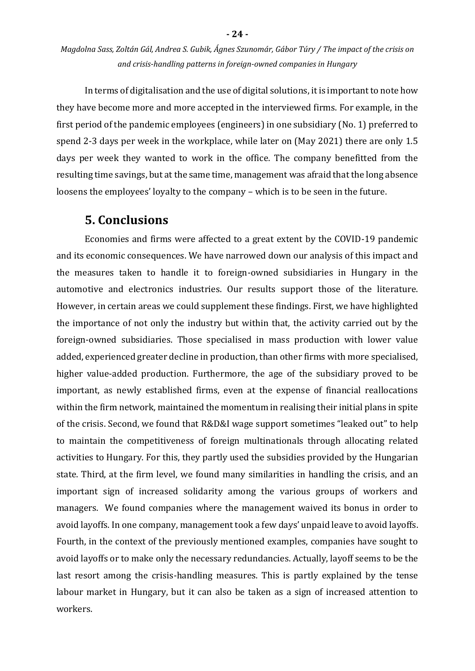In terms of digitalisation and the use of digital solutions, it is important to note how they have become more and more accepted in the interviewed firms. For example, in the first period of the pandemic employees (engineers) in one subsidiary (No. 1) preferred to spend 2-3 days per week in the workplace, while later on (May 2021) there are only 1.5 days per week they wanted to work in the office. The company benefitted from the resulting time savings, but at the same time, management was afraid that the long absence loosens the employees' loyalty to the company – which is to be seen in the future.

### **5. Conclusions**

Economies and firms were affected to a great extent by the COVID-19 pandemic and its economic consequences. We have narrowed down our analysis of this impact and the measures taken to handle it to foreign-owned subsidiaries in Hungary in the automotive and electronics industries. Our results support those of the literature. However, in certain areas we could supplement these findings. First, we have highlighted the importance of not only the industry but within that, the activity carried out by the foreign-owned subsidiaries. Those specialised in mass production with lower value added, experienced greater decline in production, than other firms with more specialised, higher value-added production. Furthermore, the age of the subsidiary proved to be important, as newly established firms, even at the expense of financial reallocations within the firm network, maintained the momentum in realising their initial plans in spite of the crisis. Second, we found that R&D&I wage support sometimes "leaked out" to help to maintain the competitiveness of foreign multinationals through allocating related activities to Hungary. For this, they partly used the subsidies provided by the Hungarian state. Third, at the firm level, we found many similarities in handling the crisis, and an important sign of increased solidarity among the various groups of workers and managers. We found companies where the management waived its bonus in order to avoid layoffs. In one company, management took a few days' unpaid leave to avoid layoffs. Fourth, in the context of the previously mentioned examples, companies have sought to avoid layoffs or to make only the necessary redundancies. Actually, layoff seems to be the last resort among the crisis-handling measures. This is partly explained by the tense labour market in Hungary, but it can also be taken as a sign of increased attention to workers.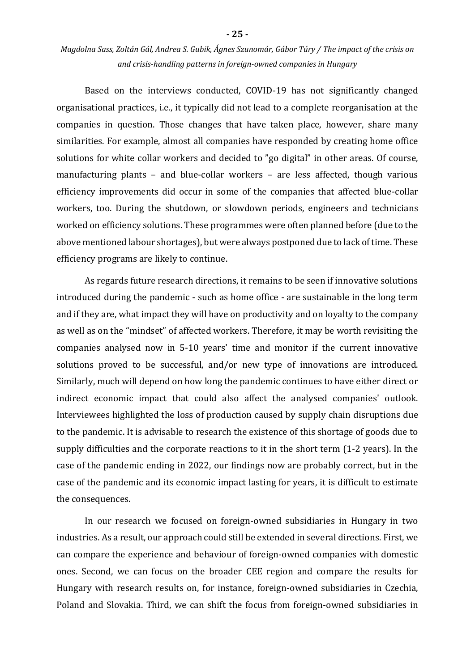Based on the interviews conducted, COVID-19 has not significantly changed organisational practices, i.e., it typically did not lead to a complete reorganisation at the companies in question. Those changes that have taken place, however, share many similarities. For example, almost all companies have responded by creating home office solutions for white collar workers and decided to "go digital" in other areas. Of course, manufacturing plants – and blue-collar workers – are less affected, though various efficiency improvements did occur in some of the companies that affected blue-collar workers, too. During the shutdown, or slowdown periods, engineers and technicians worked on efficiency solutions. These programmes were often planned before (due to the above mentioned labour shortages), but were always postponed due to lack of time. These efficiency programs are likely to continue.

As regards future research directions, it remains to be seen if innovative solutions introduced during the pandemic - such as home office - are sustainable in the long term and if they are, what impact they will have on productivity and on loyalty to the company as well as on the "mindset" of affected workers. Therefore, it may be worth revisiting the companies analysed now in 5-10 years' time and monitor if the current innovative solutions proved to be successful, and/or new type of innovations are introduced. Similarly, much will depend on how long the pandemic continues to have either direct or indirect economic impact that could also affect the analysed companies' outlook. Interviewees highlighted the loss of production caused by supply chain disruptions due to the pandemic. It is advisable to research the existence of this shortage of goods due to supply difficulties and the corporate reactions to it in the short term (1-2 years). In the case of the pandemic ending in 2022, our findings now are probably correct, but in the case of the pandemic and its economic impact lasting for years, it is difficult to estimate the consequences.

In our research we focused on foreign-owned subsidiaries in Hungary in two industries. As a result, our approach could still be extended in several directions. First, we can compare the experience and behaviour of foreign-owned companies with domestic ones. Second, we can focus on the broader CEE region and compare the results for Hungary with research results on, for instance, foreign-owned subsidiaries in Czechia, Poland and Slovakia. Third, we can shift the focus from foreign-owned subsidiaries in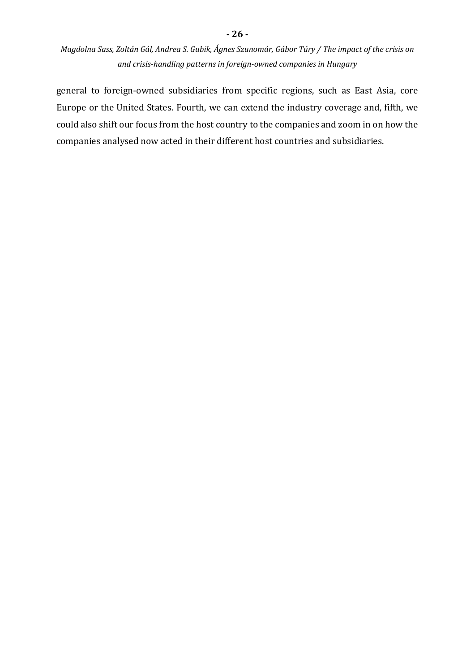**- 26 -**

general to foreign-owned subsidiaries from specific regions, such as East Asia, core Europe or the United States. Fourth, we can extend the industry coverage and, fifth, we could also shift our focus from the host country to the companies and zoom in on how the companies analysed now acted in their different host countries and subsidiaries.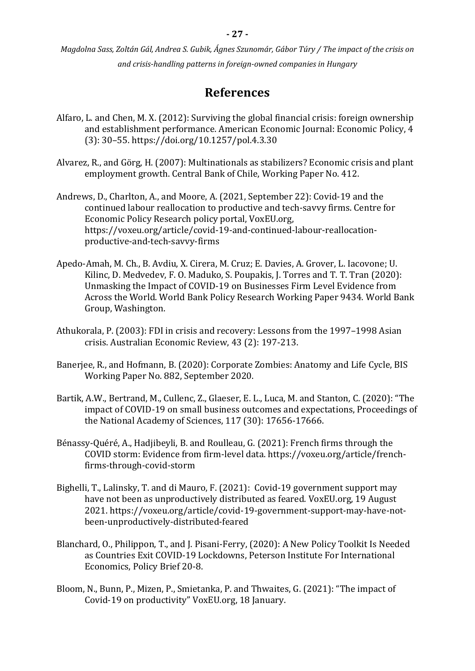# **References**

- Alfaro, L. and Chen, M. X. (2012): Surviving the global financial crisis: foreign ownership and establishment performance. American Economic Journal: Economic Policy, 4 (3): 30–55. https://doi.org/10.1257/pol.4.3.30
- Alvarez, R., and Görg, H. (2007): Multinationals as stabilizers? Economic crisis and plant employment growth. Central Bank of Chile, Working Paper No. 412.
- Andrews, D., Charlton, A., and Moore, A. (2021, September 22): Covid-19 and the continued labour reallocation to productive and tech-savvy firms. Centre for Economic Policy Research policy portal, VoxEU.org, https://voxeu.org/article/covid-19-and-continued-labour-reallocationproductive-and-tech-savvy-firms
- Apedo-Amah, M. Ch., B. Avdiu, X. Cirera, M. Cruz; E. Davies, A. Grover, L. Iacovone; U. Kilinc, D. Medvedev, F. O. Maduko, S. Poupakis, J. Torres and T. T. Tran (2020): Unmasking the Impact of COVID-19 on Businesses Firm Level Evidence from Across the World. World Bank Policy Research Working Paper 9434. World Bank Group, Washington.
- Athukorala, P. (2003): FDI in crisis and recovery: Lessons from the 1997–1998 Asian crisis. Australian Economic Review, 43 (2): 197-213.
- Banerjee, R., and Hofmann, B. (2020): Corporate Zombies: Anatomy and Life Cycle, BIS Working Paper No. 882, September 2020.
- Bartik, A.W., Bertrand, M., Cullenc, Z., Glaeser, E. L., Luca, M. and Stanton, C. (2020): "The impact of COVID-19 on small business outcomes and expectations, Proceedings of the National Academy of Sciences, 117 (30): 17656-17666.
- Bénassy-Quéré, A., Hadjibeyli, B. and Roulleau, G. (2021): French firms through the COVID storm: Evidence from firm-level data. https://voxeu.org/article/frenchfirms-through-covid-storm
- Bighelli, T., Lalinsky, T. and di Mauro, F. (2021): Covid-19 government support may have not been as unproductively distributed as feared. VoxEU.org, 19 August 2021. https://voxeu.org/article/covid-19-government-support-may-have-notbeen-unproductively-distributed-feared
- Blanchard, O., Philippon, T., and J. Pisani-Ferry, (2020): A New Policy Toolkit Is Needed as Countries Exit COVID-19 Lockdowns, Peterson Institute For International Economics, Policy Brief 20-8.
- Bloom, N., Bunn, P., Mizen, P., Smietanka, P. and Thwaites, G. (2021): "The impact of Covid-19 on productivity" VoxEU.org, 18 January.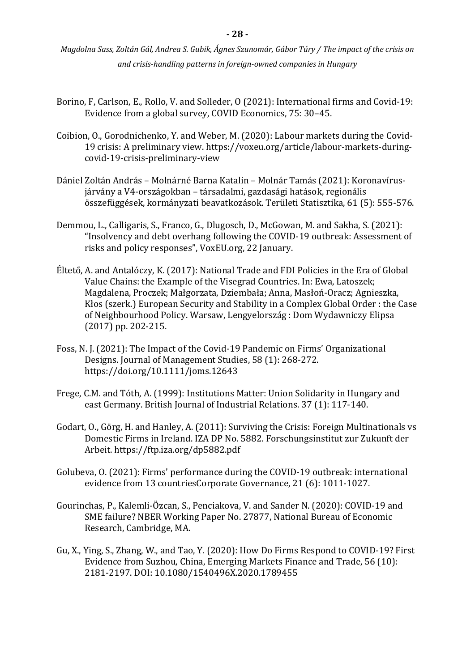- Borino, F, Carlson, E., Rollo, V. and Solleder, O (2021): International firms and Covid-19: Evidence from a global survey, COVID Economics, 75: 30–45.
- Coibion, O., Gorodnichenko, Y. and Weber, M. (2020): Labour markets during the Covid-19 crisis: A preliminary view. https://voxeu.org/article/labour-markets-duringcovid-19-crisis-preliminary-view
- Dániel Zoltán András Molnárné Barna Katalin Molnár Tamás (2021): Koronavírusjárvány a V4-országokban – társadalmi, gazdasági hatások, regionális összefüggések, kormányzati beavatkozások. Területi Statisztika, 61 (5): 555-576.
- Demmou, L., Calligaris, S., Franco, G., Dlugosch, D., McGowan, M. and Sakha, S. (2021): "Insolvency and debt overhang following the COVID-19 outbreak: Assessment of risks and policy responses", VoxEU.org, 22 January.
- Éltető, A. and Antalóczy, K. (2017): National Trade and FDI Policies in the Era of Global Value Chains: the Example of the Visegrad Countries. In: Ewa, Latoszek; Magdalena, Proczek; Małgorzata, Dziembała; Anna, Masłoń-Oracz; Agnieszka, Kłos (szerk.) European Security and Stability in a Complex Global Order : the Case of Neighbourhood Policy. Warsaw, Lengyelország : Dom Wydawniczy Elipsa (2017) pp. 202-215.
- Foss, N. J. (2021): The Impact of the Covid‐19 Pandemic on Firms' Organizational Designs. Journal of Management Studies, 58 (1): 268-272. https://doi.org/10.1111/joms.12643
- Frege, C.M. and Tóth, A. (1999): Institutions Matter: Union Solidarity in Hungary and east Germany. British Journal of Industrial Relations. 37 (1): 117-140.
- Godart, O., Görg, H. and Hanley, A. (2011): Surviving the Crisis: Foreign Multinationals vs Domestic Firms in Ireland. IZA DP No. 5882. Forschungsinstitut zur Zukunft der Arbeit. https://ftp.iza.org/dp5882.pdf
- Golubeva, O. (2021): Firms' performance during the COVID-19 outbreak: international evidence from 13 countriesCorporate Governance, 21 (6): 1011-1027.
- Gourinchas, P., Kalemli-Özcan, S., Penciakova, V. and Sander N. (2020): COVID-19 and SME failure? NBER Working Paper No. 27877, National Bureau of Economic Research, Cambridge, MA.
- Gu, X., Ying, S., Zhang, W., and Tao, Y. (2020): How Do Firms Respond to COVID-19? First Evidence from Suzhou, China, Emerging Markets Finance and Trade, 56 (10): 2181-2197. DOI: 10.1080/1540496X.2020.1789455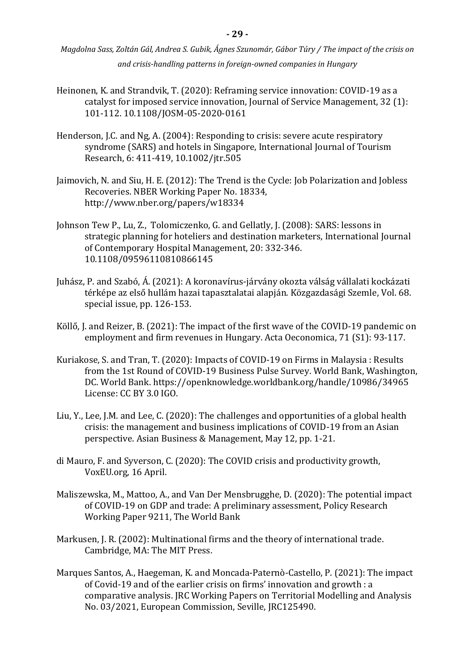- Heinonen, K. and Strandvik, T. (2020): Reframing service innovation: COVID-19 as a catalyst for imposed service innovation, Journal of Service Management, 32 (1): 101-112. 10.1108/JOSM-05-2020-0161
- Henderson, J.C. and Ng, A. (2004): Responding to crisis: severe acute respiratory syndrome (SARS) and hotels in Singapore, International Journal of Tourism Research, 6: 411-419, 10.1002/jtr.505
- Jaimovich, N. and Siu, H. E. (2012): The Trend is the Cycle: Job Polarization and Jobless Recoveries. NBER Working Paper No. 18334, http://www.nber.org/papers/w18334
- Johnson Tew P., Lu, Z., Tolomiczenko, G. and Gellatly, J. (2008): SARS: lessons in strategic planning for hoteliers and destination marketers, International Journal of Contemporary Hospital Management, 20: 332-346. 10.1108/09596110810866145
- Juhász, P. and Szabó, Á. (2021): A koronavírus-járvány okozta válság vállalati kockázati térképe az első hullám hazai tapasztalatai alapján. Közgazdasági Szemle, Vol. 68. special issue, pp. 126-153.
- Köllő, J. and Reizer, B. (2021): The impact of the first wave of the COVID-19 pandemic on employment and firm revenues in Hungary. Acta Oeconomica, 71 (S1): 93-117.
- Kuriakose, S. and Tran, T. (2020): Impacts of COVID-19 on Firms in Malaysia : Results from the 1st Round of COVID-19 Business Pulse Survey. World Bank, Washington, DC. World Bank. https://openknowledge.worldbank.org/handle/10986/34965 License: CC BY 3.0 IGO.
- Liu, Y., Lee, J.M. and Lee, C. (2020): The challenges and opportunities of a global health crisis: the management and business implications of COVID-19 from an Asian perspective. Asian Business & Management, May 12, pp. 1-21.
- di Mauro, F. and Syverson, C. (2020): The COVID crisis and productivity growth, VoxEU.org, 16 April.
- Maliszewska, M., Mattoo, A., and Van Der Mensbrugghe, D. (2020): The potential impact of COVID-19 on GDP and trade: A preliminary assessment, Policy Research Working Paper 9211, The World Bank
- Markusen, J. R. (2002): Multinational firms and the theory of international trade. Cambridge, MA: The MIT Press.
- Marques Santos, A., Haegeman, K. and Moncada-Paternò-Castello, P. (2021): The impact of Covid-19 and of the earlier crisis on firms' innovation and growth : a comparative analysis. JRC Working Papers on Territorial Modelling and Analysis No. 03/2021, European Commission, Seville, JRC125490.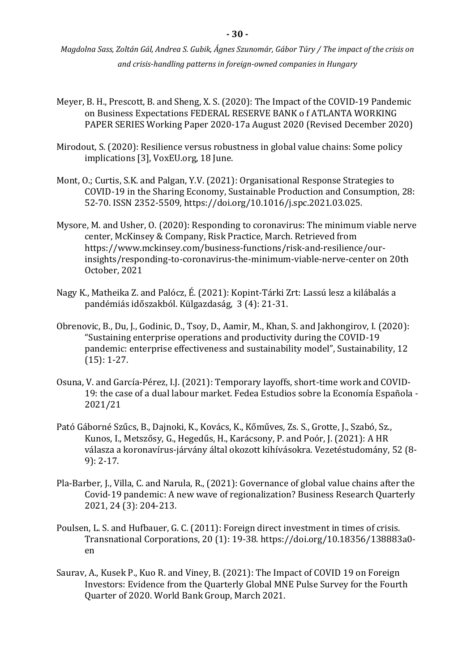- Meyer, B. H., Prescott, B. and Sheng, X. S. (2020): The Impact of the COVID-19 Pandemic on Business Expectations FEDERAL RESERVE BANK o f ATLANTA WORKING PAPER SERIES Working Paper 2020-17a August 2020 (Revised December 2020)
- Mirodout, S. (2020): Resilience versus robustness in global value chains: Some policy implications [3], VoxEU.org, 18 June.
- Mont, O.; Curtis, S.K. and Palgan, Y.V. (2021): Organisational Response Strategies to COVID-19 in the Sharing Economy, Sustainable Production and Consumption, 28: 52-70. ISSN 2352-5509, https://doi.org/10.1016/j.spc.2021.03.025.
- Mysore, M. and Usher, O. (2020): Responding to coronavirus: The minimum viable nerve center, McKinsey & Company, Risk Practice, March. Retrieved from https://www.mckinsey.com/business-functions/risk-and-resilience/ourinsights/responding-to-coronavirus-the-minimum-viable-nerve-center on 20th October, 2021
- Nagy K., Matheika Z. and Palócz, É. (2021): Kopint-Tárki Zrt: Lassú lesz a kilábalás a pandémiás időszakból. Külgazdaság, 3 (4): 21-31.
- Obrenovic, B., Du, J., Godinic, D., Tsoy, D., Aamir, M., Khan, S. and Jakhongirov, I. (2020): "Sustaining enterprise operations and productivity during the COVID-19 pandemic: enterprise effectiveness and sustainability model", Sustainability, 12 (15): 1-27.
- Osuna, V. and García-Pérez, I.J. (2021): Temporary layoffs, short-time work and COVID-19: the case of a dual labour market. Fedea Estudios sobre la Economía Española - 2021/21
- Pató Gáborné Szűcs, B., Dajnoki, K., Kovács, K., Kőműves, Zs. S., Grotte, J., Szabó, Sz., Kunos, I., Metszősy, G., Hegedűs, H., Karácsony, P. and Poór, J. (2021): A HR válasza a koronavírus-járvány által okozott kihívásokra. Vezetéstudomány, 52 (8- 9): 2-17.
- Pla-Barber, J., Villa, C. and Narula, R., (2021): Governance of global value chains after the Covid-19 pandemic: A new wave of regionalization? Business Research Quarterly 2021, 24 (3): 204-213.
- Poulsen, L. S. and Hufbauer, G. C. (2011): Foreign direct investment in times of crisis. Transnational Corporations, 20 (1): 19-38. https://doi.org/10.18356/138883a0 en
- Saurav, A., Kusek P., Kuo R. and Viney, B. (2021): The Impact of COVID 19 on Foreign Investors: Evidence from the Quarterly Global MNE Pulse Survey for the Fourth Quarter of 2020. World Bank Group, March 2021.